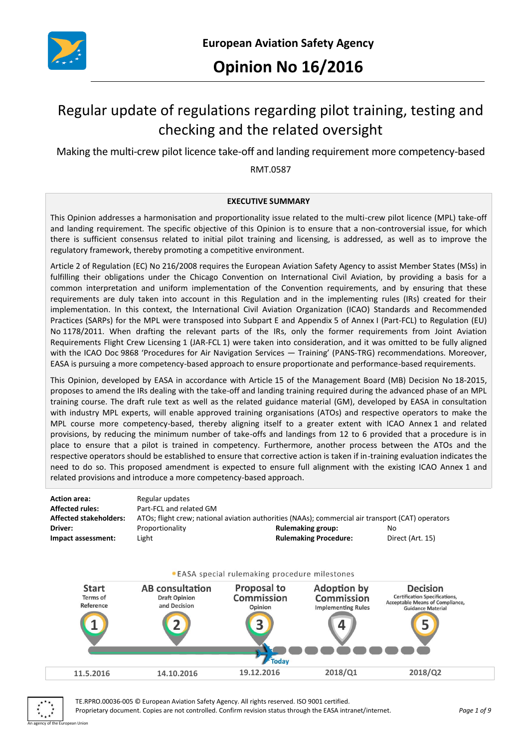

# Regular update of regulations regarding pilot training, testing and checking and the related oversight

Making the multi-crew pilot licence take-off and landing requirement more competency-based

RMT.0587

#### **EXECUTIVE SUMMARY**

This Opinion addresses a harmonisation and proportionality issue related to the multi-crew pilot licence (MPL) take-off and landing requirement. The specific objective of this Opinion is to ensure that a non-controversial issue, for which there is sufficient consensus related to initial pilot training and licensing, is addressed, as well as to improve the regulatory framework, thereby promoting a competitive environment.

Article 2 of Regulation (EC) No 216/2008 requires the European Aviation Safety Agency to assist Member States (MSs) in fulfilling their obligations under the Chicago Convention on International Civil Aviation, by providing a basis for a common interpretation and uniform implementation of the Convention requirements, and by ensuring that these requirements are duly taken into account in this Regulation and in the implementing rules (IRs) created for their implementation. In this context, the International Civil Aviation Organization (ICAO) Standards and Recommended Practices (SARPs) for the MPL were transposed into Subpart E and Appendix 5 of Annex I (Part-FCL) to Regulation (EU) No 1178/2011. When drafting the relevant parts of the IRs, only the former requirements from Joint Aviation Requirements Flight Crew Licensing 1 (JAR-FCL 1) were taken into consideration, and it was omitted to be fully aligned with the ICAO Doc 9868 'Procedures for Air Navigation Services — Training' (PANS-TRG) recommendations. Moreover, EASA is pursuing a more competency-based approach to ensure proportionate and performance-based requirements.

This Opinion, developed by EASA in accordance with Article 15 of the Management Board (MB) Decision No 18-2015, proposes to amend the IRs dealing with the take-off and landing training required during the advanced phase of an MPL training course. The draft rule text as well as the related guidance material (GM), developed by EASA in consultation with industry MPL experts, will enable approved training organisations (ATOs) and respective operators to make the MPL course more competency-based, thereby aligning itself to a greater extent with ICAO Annex 1 and related provisions, by reducing the minimum number of take-offs and landings from 12 to 6 provided that a procedure is in place to ensure that a pilot is trained in competency. Furthermore, another process between the ATOs and the respective operators should be established to ensure that corrective action is taken if in-training evaluation indicates the need to do so. This proposed amendment is expected to ensure full alignment with the existing ICAO Annex 1 and related provisions and introduce a more competency-based approach.

| Action area:           | Regular updates         |                                                                                                   |                  |
|------------------------|-------------------------|---------------------------------------------------------------------------------------------------|------------------|
| Affected rules:        | Part-FCL and related GM |                                                                                                   |                  |
| Affected stakeholders: |                         | ATOs; flight crew; national aviation authorities (NAAs); commercial air transport (CAT) operators |                  |
| Driver:                | Proportionality         | <b>Rulemaking group:</b>                                                                          | No               |
| Impact assessment:     | Light                   | <b>Rulemaking Procedure:</b>                                                                      | Direct (Art. 15) |
|                        |                         |                                                                                                   |                  |







TE.RPRO.00036-005 © European Aviation Safety Agency. All rights reserved. ISO 9001 certified. Proprietary document. Copies are not controlled. Confirm revision status through the EASA intranet/internet. *Page 1 of 9*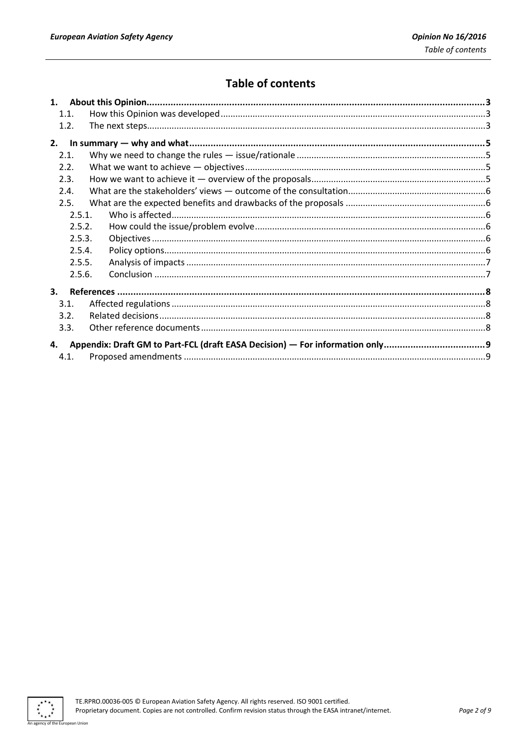# **Table of contents**

| 1.1.                                                                              |  |
|-----------------------------------------------------------------------------------|--|
| 1.2.                                                                              |  |
| 2.                                                                                |  |
| 2.1.                                                                              |  |
| 2.2.                                                                              |  |
| 2.3.                                                                              |  |
| 2.4.                                                                              |  |
| 2.5.                                                                              |  |
| 2.5.1.                                                                            |  |
| 2.5.2.                                                                            |  |
| 2.5.3.                                                                            |  |
| 2.5.4.                                                                            |  |
| 2.5.5.                                                                            |  |
| 2.5.6.                                                                            |  |
| $\mathbf{3}$ .                                                                    |  |
| 3.1.                                                                              |  |
| 3.2.                                                                              |  |
| 3.3.                                                                              |  |
| Appendix: Draft GM to Part-FCL (draft EASA Decision) - For information only<br>4. |  |
| 4.1.                                                                              |  |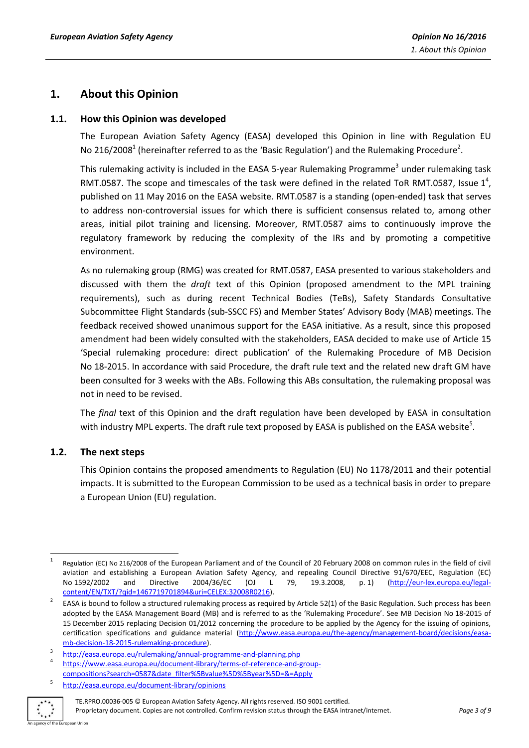# **1. About this Opinion**

## **1.1. How this Opinion was developed**

The European Aviation Safety Agency (EASA) developed this Opinion in line with Regulation EU No 216/2008<sup>1</sup> (hereinafter referred to as the 'Basic Regulation') and the Rulemaking Procedure<sup>2</sup>.

This rulemaking activity is included in the EASA 5-year Rulemaking Programme<sup>3</sup> under rulemaking task RMT.0587. The scope and timescales of the task were defined in the related ToR RMT.0587, Issue  $1^4$ , published on 11 May 2016 on the EASA website. RMT.0587 is a standing (open-ended) task that serves to address non-controversial issues for which there is sufficient consensus related to, among other areas, initial pilot training and licensing. Moreover, RMT.0587 aims to continuously improve the regulatory framework by reducing the complexity of the IRs and by promoting a competitive environment.

As no rulemaking group (RMG) was created for RMT.0587, EASA presented to various stakeholders and discussed with them the *draft* text of this Opinion (proposed amendment to the MPL training requirements), such as during recent Technical Bodies (TeBs), Safety Standards Consultative Subcommittee Flight Standards (sub-SSCC FS) and Member States' Advisory Body (MAB) meetings. The feedback received showed unanimous support for the EASA initiative. As a result, since this proposed amendment had been widely consulted with the stakeholders, EASA decided to make use of Article 15 'Special rulemaking procedure: direct publication' of the Rulemaking Procedure of MB Decision No 18-2015. In accordance with said Procedure, the draft rule text and the related new draft GM have been consulted for 3 weeks with the ABs. Following this ABs consultation, the rulemaking proposal was not in need to be revised.

The *final* text of this Opinion and the draft regulation have been developed by EASA in consultation with industry MPL experts. The draft rule text proposed by EASA is published on the EASA website<sup>5</sup>.

#### **1.2. The next steps**

This Opinion contains the proposed amendments to Regulation (EU) No 1178/2011 and their potential impacts. It is submitted to the European Commission to be used as a technical basis in order to prepare a European Union (EU) regulation.

<sup>5</sup> <http://easa.europa.eu/document-library/opinions>



TE.RPRO.00036-005 © European Aviation Safety Agency. All rights reserved. ISO 9001 certified. Proprietary document. Copies are not controlled. Confirm revision status through the EASA intranet/internet. *Page 3 of 9*

**<sup>.</sup>** 1 Regulation (EC) No 216/2008 of the European Parliament and of the Council of 20 February 2008 on common rules in the field of civil aviation and establishing a European Aviation Safety Agency, and repealing Council Directive 91/670/EEC, Regulation (EC) No 1592/2002 and Directive 2004/36/EC (OJ L 79, 19.3.2008, p. 1) [\(http://eur-lex.europa.eu/legal](http://eur-lex.europa.eu/legal-content/EN/TXT/?qid=1467719701894&uri=CELEX:32008R0216)[content/EN/TXT/?qid=1467719701894&uri=CELEX:32008R0216\)](http://eur-lex.europa.eu/legal-content/EN/TXT/?qid=1467719701894&uri=CELEX:32008R0216).

<sup>2</sup> EASA is bound to follow a structured rulemaking process as required by Article 52(1) of the Basic Regulation. Such process has been adopted by the EASA Management Board (MB) and is referred to as the 'Rulemaking Procedure'. See MB Decision No 18-2015 of 15 December 2015 replacing Decision 01/2012 concerning the procedure to be applied by the Agency for the issuing of opinions, certification specifications and guidance material [\(http://www.easa.europa.eu/the-agency/management-board/decisions/easa](http://www.easa.europa.eu/the-agency/management-board/decisions/easa-mb-decision-18-2015-rulemaking-procedure)[mb-decision-18-2015-rulemaking-procedure\)](http://www.easa.europa.eu/the-agency/management-board/decisions/easa-mb-decision-18-2015-rulemaking-procedure).

<sup>3</sup> <http://easa.europa.eu/rulemaking/annual-programme-and-planning.php> 4 [https://www.easa.europa.eu/document-library/terms-of-reference-and-group-](https://www.easa.europa.eu/document-library/terms-of-reference-and-group-compositions?search=0587&date_filter%5Bvalue%5D%5Byear%5D=&=Apply)

[compositions?search=0587&date\\_filter%5Bvalue%5D%5Byear%5D=&=Apply](https://www.easa.europa.eu/document-library/terms-of-reference-and-group-compositions?search=0587&date_filter%5Bvalue%5D%5Byear%5D=&=Apply)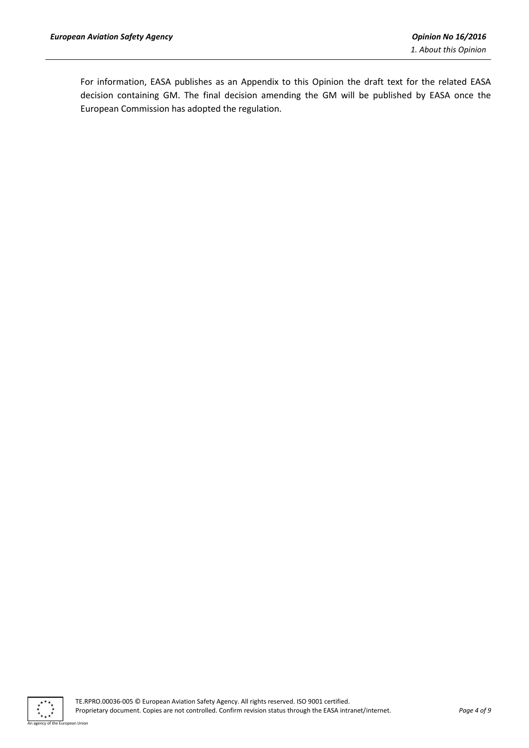For information, EASA publishes as an Appendix to this Opinion the draft text for the related EASA decision containing GM. The final decision amending the GM will be published by EASA once the European Commission has adopted the regulation.

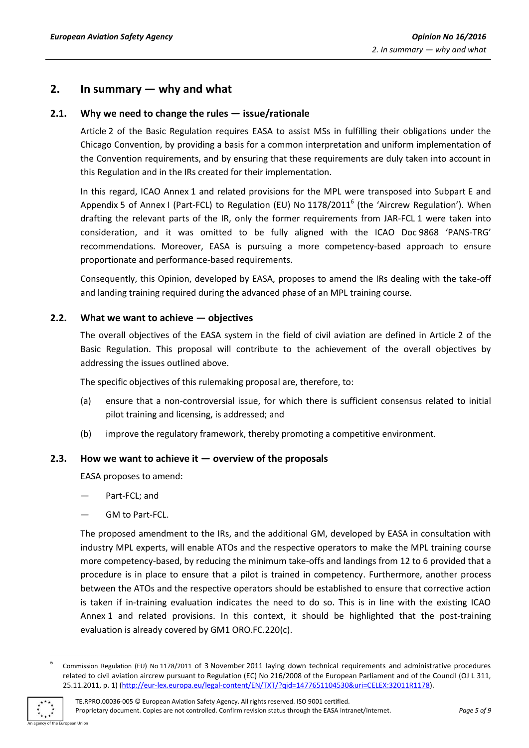# **2. In summary — why and what**

# **2.1. Why we need to change the rules — issue/rationale**

Article 2 of the Basic Regulation requires EASA to assist MSs in fulfilling their obligations under the Chicago Convention, by providing a basis for a common interpretation and uniform implementation of the Convention requirements, and by ensuring that these requirements are duly taken into account in this Regulation and in the IRs created for their implementation.

In this regard, ICAO Annex 1 and related provisions for the MPL were transposed into Subpart E and Appendix 5 of Annex I (Part-FCL) to Regulation (EU) No 1178/2011<sup>6</sup> (the 'Aircrew Regulation'). When drafting the relevant parts of the IR, only the former requirements from JAR-FCL 1 were taken into consideration, and it was omitted to be fully aligned with the ICAO Doc 9868 'PANS-TRG' recommendations. Moreover, EASA is pursuing a more competency-based approach to ensure proportionate and performance-based requirements.

Consequently, this Opinion, developed by EASA, proposes to amend the IRs dealing with the take-off and landing training required during the advanced phase of an MPL training course.

# **2.2. What we want to achieve — objectives**

The overall objectives of the EASA system in the field of civil aviation are defined in Article 2 of the Basic Regulation. This proposal will contribute to the achievement of the overall objectives by addressing the issues outlined above.

The specific objectives of this rulemaking proposal are, therefore, to:

- (a) ensure that a non-controversial issue, for which there is sufficient consensus related to initial pilot training and licensing, is addressed; and
- (b) improve the regulatory framework, thereby promoting a competitive environment.

# **2.3. How we want to achieve it — overview of the proposals**

EASA proposes to amend:

- Part-FCL; and
- GM to Part-FCL.

The proposed amendment to the IRs, and the additional GM, developed by EASA in consultation with industry MPL experts, will enable ATOs and the respective operators to make the MPL training course more competency-based, by reducing the minimum take-offs and landings from 12 to 6 provided that a procedure is in place to ensure that a pilot is trained in competency. Furthermore, another process between the ATOs and the respective operators should be established to ensure that corrective action is taken if in-training evaluation indicates the need to do so. This is in line with the existing ICAO Annex 1 and related provisions. In this context, it should be highlighted that the post-training evaluation is already covered by GM1 ORO.FC.220(c).

<sup>6</sup> Commission Regulation (EU) No 1178/2011 of 3 November 2011 laying down technical requirements and administrative procedures related to civil aviation aircrew pursuant to Regulation (EC) No 216/2008 of the European Parliament and of the Council (OJ L 311, 25.11.2011, p. 1) [\(http://eur-lex.europa.eu/legal-content/EN/TXT/?qid=1477651104530&uri=CELEX:32011R1178\)](http://eur-lex.europa.eu/legal-content/EN/TXT/?qid=1477651104530&uri=CELEX:32011R1178).



**.**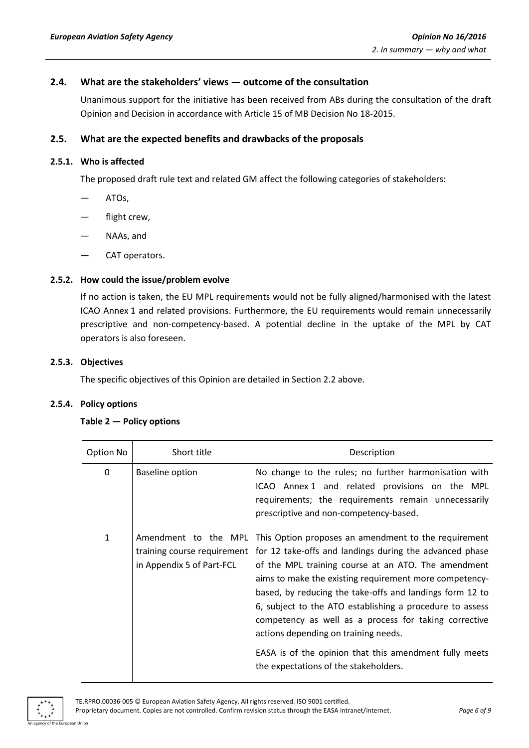# **2.4. What are the stakeholders' views — outcome of the consultation**

Unanimous support for the initiative has been received from ABs during the consultation of the draft Opinion and Decision in accordance with Article 15 of MB Decision No 18-2015.

## **2.5. What are the expected benefits and drawbacks of the proposals**

#### **2.5.1. Who is affected**

The proposed draft rule text and related GM affect the following categories of stakeholders:

- ATOs,
- flight crew,
- NAAs, and
- CAT operators.

#### **2.5.2. How could the issue/problem evolve**

If no action is taken, the EU MPL requirements would not be fully aligned/harmonised with the latest ICAO Annex 1 and related provisions. Furthermore, the EU requirements would remain unnecessarily prescriptive and non-competency-based. A potential decline in the uptake of the MPL by CAT operators is also foreseen.

#### **2.5.3. Objectives**

The specific objectives of this Opinion are detailed in Section 2.2 above.

#### **2.5.4. Policy options**

#### **Table 2 — Policy options**

| Option No    | Short title                                       | Description                                                                                                                                                                                                                                                                                                                                                                                                                                                                           |
|--------------|---------------------------------------------------|---------------------------------------------------------------------------------------------------------------------------------------------------------------------------------------------------------------------------------------------------------------------------------------------------------------------------------------------------------------------------------------------------------------------------------------------------------------------------------------|
| 0            | Baseline option                                   | No change to the rules; no further harmonisation with<br>ICAO Annex 1 and related provisions on the MPL<br>requirements; the requirements remain unnecessarily<br>prescriptive and non-competency-based.                                                                                                                                                                                                                                                                              |
| $\mathbf{1}$ | Amendment to the MPL<br>in Appendix 5 of Part-FCL | This Option proposes an amendment to the requirement<br>training course requirement for 12 take-offs and landings during the advanced phase<br>of the MPL training course at an ATO. The amendment<br>aims to make the existing requirement more competency-<br>based, by reducing the take-offs and landings form 12 to<br>6, subject to the ATO establishing a procedure to assess<br>competency as well as a process for taking corrective<br>actions depending on training needs. |
|              |                                                   | EASA is of the opinion that this amendment fully meets<br>the expectations of the stakeholders.                                                                                                                                                                                                                                                                                                                                                                                       |

An agency of the European Union

TE.RPRO.00036-005 © European Aviation Safety Agency. All rights reserved. ISO 9001 certified. Proprietary document. Copies are not controlled. Confirm revision status through the EASA intranet/internet. *Page 6 of 9*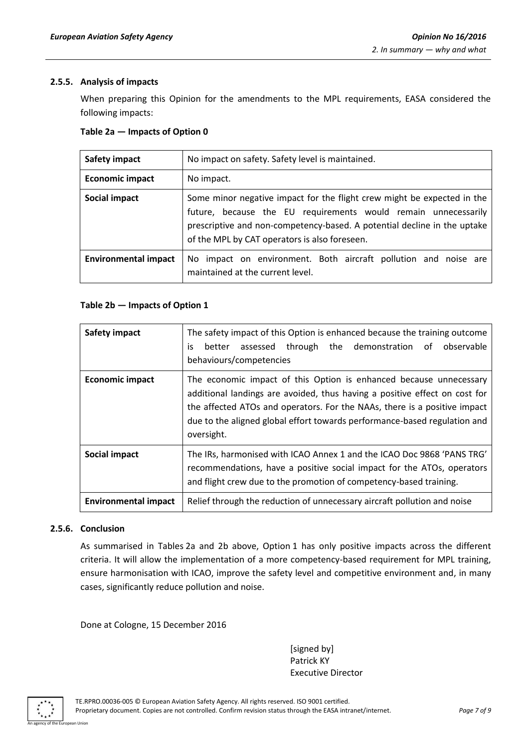# **2.5.5. Analysis of impacts**

When preparing this Opinion for the amendments to the MPL requirements, EASA considered the following impacts:

#### **Table 2a — Impacts of Option 0**

| <b>Safety impact</b>        | No impact on safety. Safety level is maintained.                                                                                                                                                                                                                       |
|-----------------------------|------------------------------------------------------------------------------------------------------------------------------------------------------------------------------------------------------------------------------------------------------------------------|
| <b>Economic impact</b>      | No impact.                                                                                                                                                                                                                                                             |
| Social impact               | Some minor negative impact for the flight crew might be expected in the<br>future, because the EU requirements would remain unnecessarily<br>prescriptive and non-competency-based. A potential decline in the uptake<br>of the MPL by CAT operators is also foreseen. |
| <b>Environmental impact</b> | No impact on environment. Both aircraft pollution and noise are<br>maintained at the current level.                                                                                                                                                                    |

## **Table 2b — Impacts of Option 1**

| <b>Safety impact</b>        | The safety impact of this Option is enhanced because the training outcome<br>better assessed through the demonstration<br>of observable<br>is.<br>behaviours/competencies                                                                                                                                                |  |
|-----------------------------|--------------------------------------------------------------------------------------------------------------------------------------------------------------------------------------------------------------------------------------------------------------------------------------------------------------------------|--|
| <b>Economic impact</b>      | The economic impact of this Option is enhanced because unnecessary<br>additional landings are avoided, thus having a positive effect on cost for<br>the affected ATOs and operators. For the NAAs, there is a positive impact<br>due to the aligned global effort towards performance-based regulation and<br>oversight. |  |
| Social impact               | The IRs, harmonised with ICAO Annex 1 and the ICAO Doc 9868 'PANS TRG'<br>recommendations, have a positive social impact for the ATOs, operators<br>and flight crew due to the promotion of competency-based training.                                                                                                   |  |
| <b>Environmental impact</b> | Relief through the reduction of unnecessary aircraft pollution and noise                                                                                                                                                                                                                                                 |  |

#### **2.5.6. Conclusion**

As summarised in Tables 2a and 2b above, Option 1 has only positive impacts across the different criteria. It will allow the implementation of a more competency-based requirement for MPL training, ensure harmonisation with ICAO, improve the safety level and competitive environment and, in many cases, significantly reduce pollution and noise.

Done at Cologne, 15 December 2016

[signed by] Patrick KY Executive Director

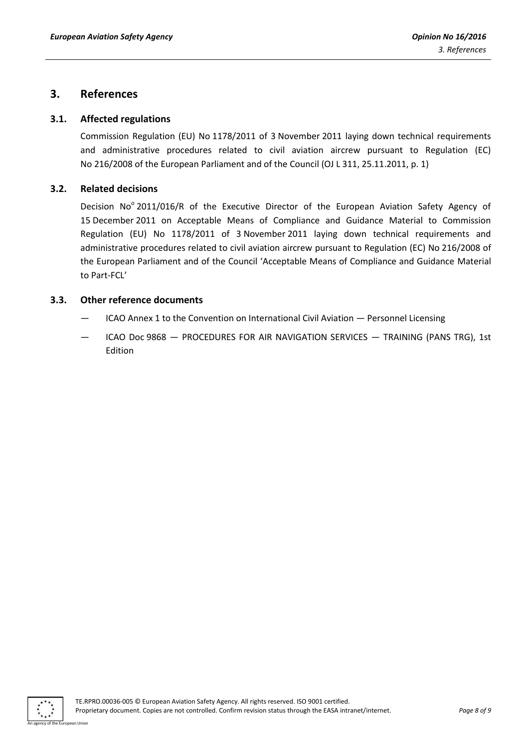# **3. References**

## **3.1. Affected regulations**

Commission Regulation (EU) No 1178/2011 of 3 November 2011 laying down technical requirements and administrative procedures related to civil aviation aircrew pursuant to Regulation (EC) No 216/2008 of the European Parliament and of the Council (OJ L 311, 25.11.2011, p. 1)

## **3.2. Related decisions**

Decision No<sup>o</sup> 2011/016/R of the Executive Director of the European Aviation Safety Agency of 15 December 2011 on Acceptable Means of Compliance and Guidance Material to Commission Regulation (EU) No 1178/2011 of 3 November 2011 laying down technical requirements and administrative procedures related to civil aviation aircrew pursuant to Regulation (EC) No 216/2008 of the European Parliament and of the Council 'Acceptable Means of Compliance and Guidance Material to Part-FCL'

# **3.3. Other reference documents**

- ICAO Annex 1 to the Convention on International Civil Aviation Personnel Licensing
- ICAO Doc 9868 PROCEDURES FOR AIR NAVIGATION SERVICES TRAINING (PANS TRG), 1st Edition

An agency of the European Union